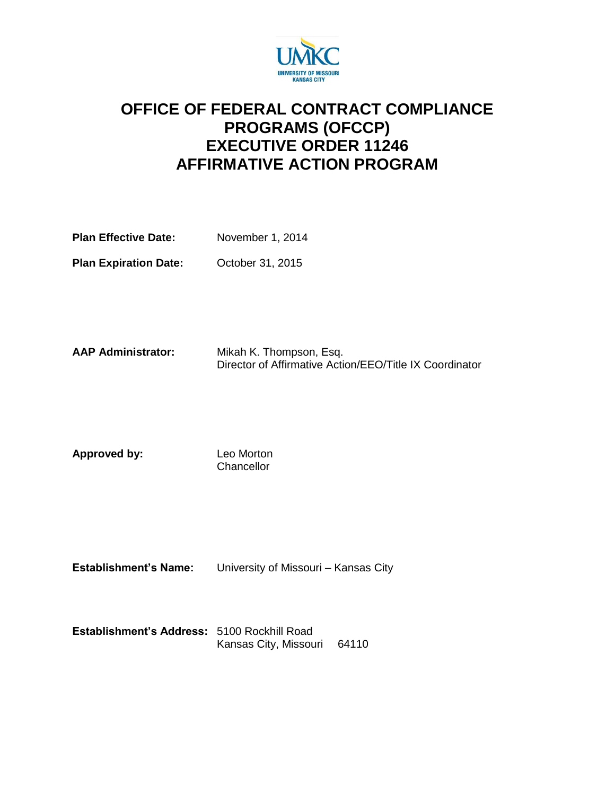

## **OFFICE OF FEDERAL CONTRACT COMPLIANCE PROGRAMS (OFCCP) EXECUTIVE ORDER 11246 AFFIRMATIVE ACTION PROGRAM**

| <b>Plan Effective Date:</b> | November 1, 2014 |  |
|-----------------------------|------------------|--|
|                             |                  |  |

**Plan Expiration Date:** October 31, 2015

**AAP Administrator:** Mikah K. Thompson, Esq. Director of Affirmative Action/EEO/Title IX Coordinator

**Approved by:** Leo Morton **Chancellor** 

**Establishment's Name:** University of Missouri – Kansas City

| Establishment's Address: 5100 Rockhill Road |                             |  |
|---------------------------------------------|-----------------------------|--|
|                                             | Kansas City, Missouri 64110 |  |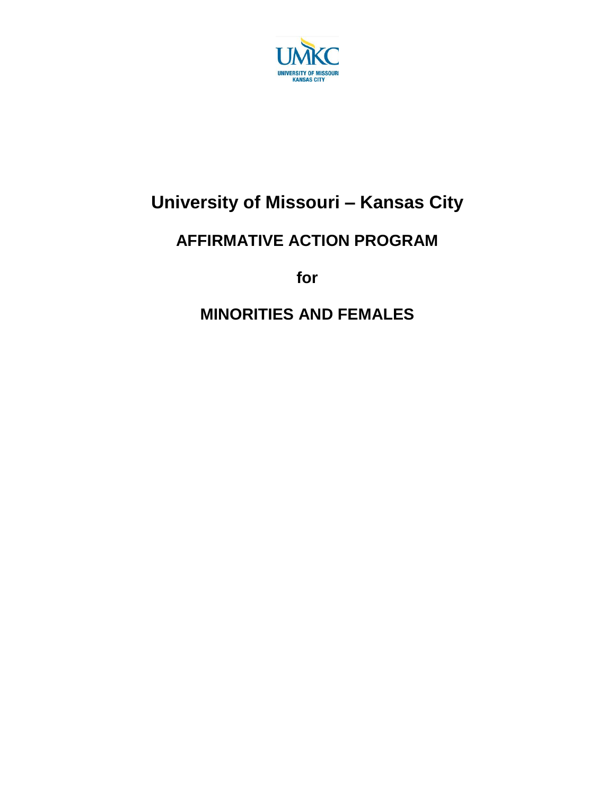

# **University of Missouri – Kansas City**

## **AFFIRMATIVE ACTION PROGRAM**

**for**

## **MINORITIES AND FEMALES**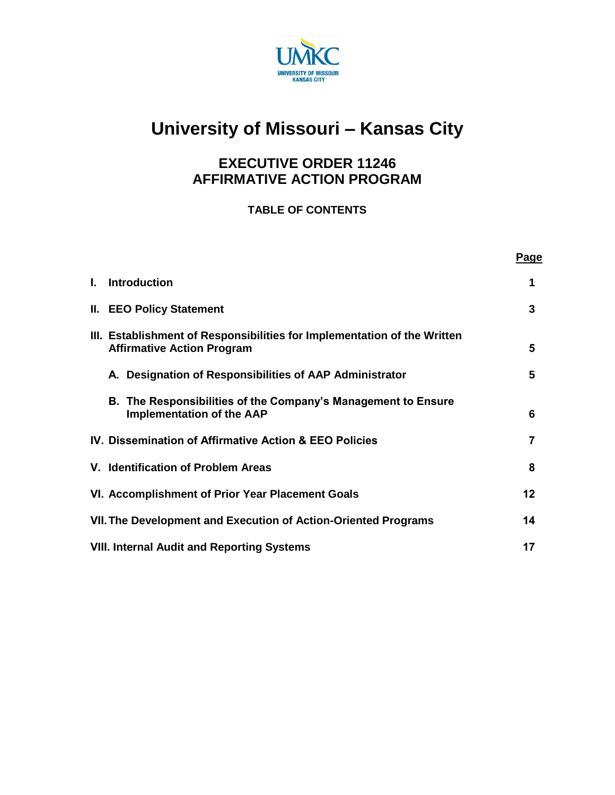

# **University of Missouri – Kansas City**

## **EXECUTIVE ORDER 11246 AFFIRMATIVE ACTION PROGRAM**

## **TABLE OF CONTENTS**

|    |                                                                                                               | Page |
|----|---------------------------------------------------------------------------------------------------------------|------|
| L. | <b>Introduction</b>                                                                                           | 1    |
|    | <b>II. EEO Policy Statement</b>                                                                               | 3    |
|    | III. Establishment of Responsibilities for Implementation of the Written<br><b>Affirmative Action Program</b> | 5    |
|    | A. Designation of Responsibilities of AAP Administrator                                                       | 5    |
|    | B. The Responsibilities of the Company's Management to Ensure<br><b>Implementation of the AAP</b>             | 6    |
|    | IV. Dissemination of Affirmative Action & EEO Policies                                                        |      |
|    | V. Identification of Problem Areas                                                                            | 8    |
|    | VI. Accomplishment of Prior Year Placement Goals                                                              | 12   |
|    | VII. The Development and Execution of Action-Oriented Programs                                                | 14   |
|    | <b>VIII. Internal Audit and Reporting Systems</b>                                                             | 17   |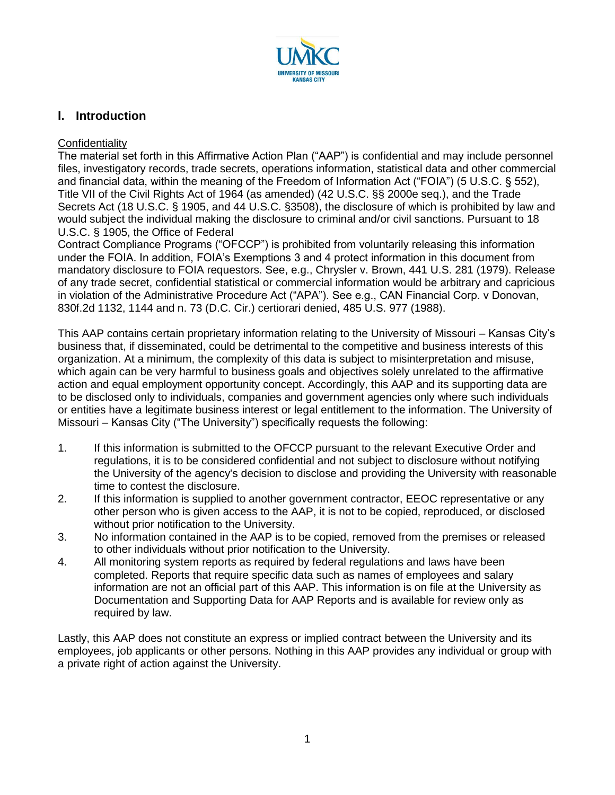

## **I. Introduction**

#### **Confidentiality**

The material set forth in this Affirmative Action Plan ("AAP") is confidential and may include personnel files, investigatory records, trade secrets, operations information, statistical data and other commercial and financial data, within the meaning of the Freedom of Information Act ("FOIA") (5 U.S.C. § 552), Title VII of the Civil Rights Act of 1964 (as amended) (42 U.S.C. §§ 2000e seq.), and the Trade Secrets Act (18 U.S.C. § 1905, and 44 U.S.C. §3508), the disclosure of which is prohibited by law and would subject the individual making the disclosure to criminal and/or civil sanctions. Pursuant to 18 U.S.C. § 1905, the Office of Federal

Contract Compliance Programs ("OFCCP") is prohibited from voluntarily releasing this information under the FOIA. In addition, FOIA's Exemptions 3 and 4 protect information in this document from mandatory disclosure to FOIA requestors. See, e.g., Chrysler v. Brown, 441 U.S. 281 (1979). Release of any trade secret, confidential statistical or commercial information would be arbitrary and capricious in violation of the Administrative Procedure Act ("APA"). See e.g., CAN Financial Corp. v Donovan, 830f.2d 1132, 1144 and n. 73 (D.C. Cir.) certiorari denied, 485 U.S. 977 (1988).

This AAP contains certain proprietary information relating to the University of Missouri – Kansas City's business that, if disseminated, could be detrimental to the competitive and business interests of this organization. At a minimum, the complexity of this data is subject to misinterpretation and misuse, which again can be very harmful to business goals and objectives solely unrelated to the affirmative action and equal employment opportunity concept. Accordingly, this AAP and its supporting data are to be disclosed only to individuals, companies and government agencies only where such individuals or entities have a legitimate business interest or legal entitlement to the information. The University of Missouri – Kansas City ("The University") specifically requests the following:

- 1. If this information is submitted to the OFCCP pursuant to the relevant Executive Order and regulations, it is to be considered confidential and not subject to disclosure without notifying the University of the agency's decision to disclose and providing the University with reasonable time to contest the disclosure.
- 2. If this information is supplied to another government contractor, EEOC representative or any other person who is given access to the AAP, it is not to be copied, reproduced, or disclosed without prior notification to the University.
- 3. No information contained in the AAP is to be copied, removed from the premises or released to other individuals without prior notification to the University.
- 4. All monitoring system reports as required by federal regulations and laws have been completed. Reports that require specific data such as names of employees and salary information are not an official part of this AAP. This information is on file at the University as Documentation and Supporting Data for AAP Reports and is available for review only as required by law.

Lastly, this AAP does not constitute an express or implied contract between the University and its employees, job applicants or other persons. Nothing in this AAP provides any individual or group with a private right of action against the University.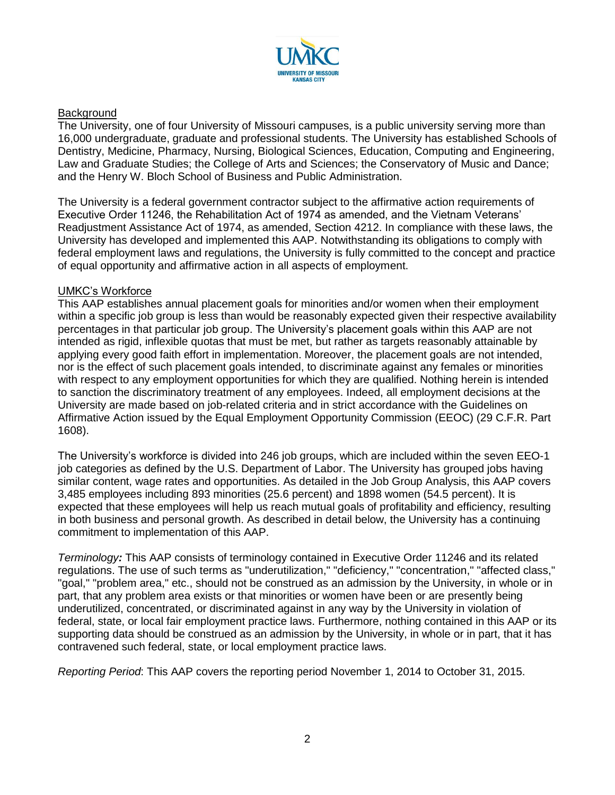

#### **Background**

The University, one of four University of Missouri campuses, is a public university serving more than 16,000 undergraduate, graduate and professional students. The University has established Schools of Dentistry, Medicine, Pharmacy, Nursing, Biological Sciences, Education, Computing and Engineering, Law and Graduate Studies; the College of Arts and Sciences; the Conservatory of Music and Dance; and the Henry W. Bloch School of Business and Public Administration.

The University is a federal government contractor subject to the affirmative action requirements of Executive Order 11246, the Rehabilitation Act of 1974 as amended, and the Vietnam Veterans' Readjustment Assistance Act of 1974, as amended, Section 4212. In compliance with these laws, the University has developed and implemented this AAP. Notwithstanding its obligations to comply with federal employment laws and regulations, the University is fully committed to the concept and practice of equal opportunity and affirmative action in all aspects of employment.

#### UMKC's Workforce

This AAP establishes annual placement goals for minorities and/or women when their employment within a specific job group is less than would be reasonably expected given their respective availability percentages in that particular job group. The University's placement goals within this AAP are not intended as rigid, inflexible quotas that must be met, but rather as targets reasonably attainable by applying every good faith effort in implementation. Moreover, the placement goals are not intended, nor is the effect of such placement goals intended, to discriminate against any females or minorities with respect to any employment opportunities for which they are qualified. Nothing herein is intended to sanction the discriminatory treatment of any employees. Indeed, all employment decisions at the University are made based on job-related criteria and in strict accordance with the Guidelines on Affirmative Action issued by the Equal Employment Opportunity Commission (EEOC) (29 C.F.R. Part 1608).

The University's workforce is divided into 246 job groups, which are included within the seven EEO-1 job categories as defined by the U.S. Department of Labor. The University has grouped jobs having similar content, wage rates and opportunities. As detailed in the Job Group Analysis, this AAP covers 3,485 employees including 893 minorities (25.6 percent) and 1898 women (54.5 percent). It is expected that these employees will help us reach mutual goals of profitability and efficiency, resulting in both business and personal growth. As described in detail below, the University has a continuing commitment to implementation of this AAP.

*Terminology:* This AAP consists of terminology contained in Executive Order 11246 and its related regulations. The use of such terms as "underutilization," "deficiency," "concentration," "affected class," "goal," "problem area," etc., should not be construed as an admission by the University, in whole or in part, that any problem area exists or that minorities or women have been or are presently being underutilized, concentrated, or discriminated against in any way by the University in violation of federal, state, or local fair employment practice laws. Furthermore, nothing contained in this AAP or its supporting data should be construed as an admission by the University, in whole or in part, that it has contravened such federal, state, or local employment practice laws.

*Reporting Period*: This AAP covers the reporting period November 1, 2014 to October 31, 2015.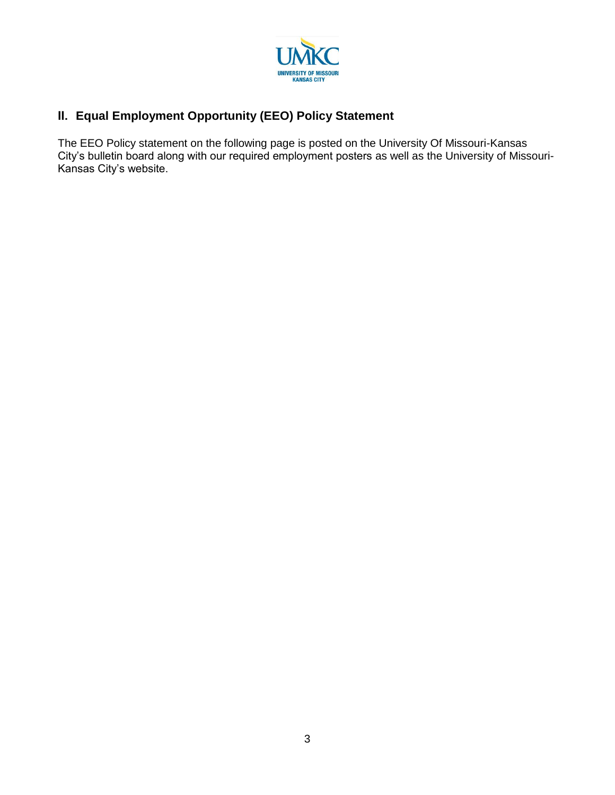

## **II. Equal Employment Opportunity (EEO) Policy Statement**

The EEO Policy statement on the following page is posted on the University Of Missouri-Kansas City's bulletin board along with our required employment posters as well as the University of Missouri-Kansas City's website.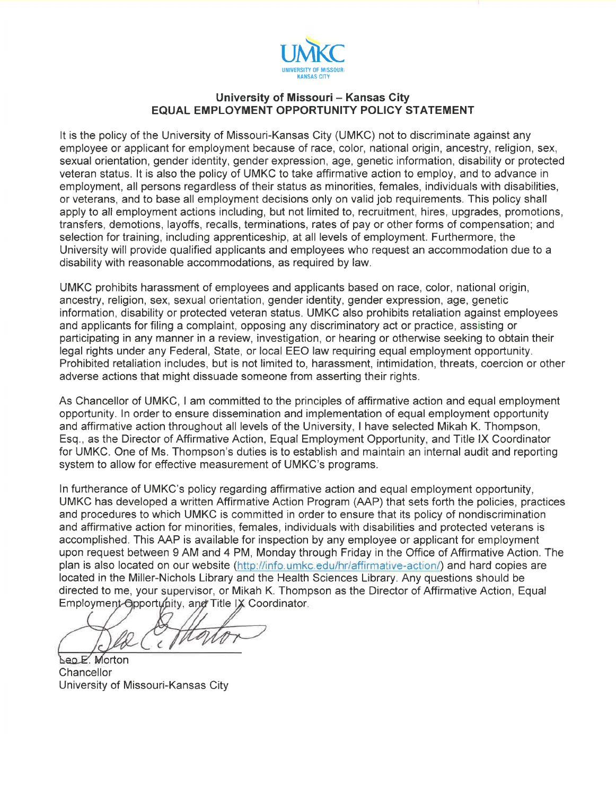

#### University of Missouri - Kansas City **EQUAL EMPLOYMENT OPPORTUNITY POLICY STATEMENT**

It is the policy of the University of Missouri-Kansas City (UMKC) not to discriminate against any employee or applicant for employment because of race, color, national origin, ancestry, religion, sex. sexual orientation, gender identity, gender expression, age, genetic information, disability or protected veteran status. It is also the policy of UMKC to take affirmative action to employ, and to advance in employment, all persons regardless of their status as minorities, females, individuals with disabilities, or veterans, and to base all employment decisions only on valid job requirements. This policy shall apply to all employment actions including, but not limited to, recruitment, hires, upgrades, promotions, transfers, demotions, layoffs, recalls, terminations, rates of pay or other forms of compensation; and selection for training, including apprenticeship, at all levels of employment. Furthermore, the University will provide qualified applicants and employees who request an accommodation due to a disability with reasonable accommodations, as required by law.

UMKC prohibits harassment of employees and applicants based on race, color, national origin, ancestry, religion, sex, sexual orientation, gender identity, gender expression, age, genetic information, disability or protected veteran status. UMKC also prohibits retaliation against employees and applicants for filing a complaint, opposing any discriminatory act or practice, assisting or participating in any manner in a review, investigation, or hearing or otherwise seeking to obtain their legal rights under any Federal, State, or local EEO law requiring equal employment opportunity. Prohibited retaliation includes, but is not limited to, harassment, intimidation, threats, coercion or other adverse actions that might dissuade someone from asserting their rights.

As Chancellor of UMKC. I am committed to the principles of affirmative action and equal employment opportunity. In order to ensure dissemination and implementation of equal employment opportunity and affirmative action throughout all levels of the University. I have selected Mikah K. Thompson, Esq., as the Director of Affirmative Action, Equal Employment Opportunity, and Title IX Coordinator for UMKC. One of Ms. Thompson's duties is to establish and maintain an internal audit and reporting system to allow for effective measurement of UMKC's programs.

In furtherance of UMKC's policy regarding affirmative action and equal employment opportunity. UMKC has developed a written Affirmative Action Program (AAP) that sets forth the policies, practices and procedures to which UMKC is committed in order to ensure that its policy of nondiscrimination and affirmative action for minorities, females, individuals with disabilities and protected veterans is accomplished. This AAP is available for inspection by any employee or applicant for employment upon request between 9 AM and 4 PM, Monday through Friday in the Office of Affirmative Action. The plan is also located on our website (http://info.umkc.edu/hr/affirmative-action/) and hard copies are located in the Miller-Nichols Library and the Health Sciences Library. Any questions should be directed to me, your supervisor, or Mikah K. Thompson as the Director of Affirmative Action, Equal Employment Opportunity, and Title IX Coordinator.

Leo E. Morton Chancellor University of Missouri-Kansas City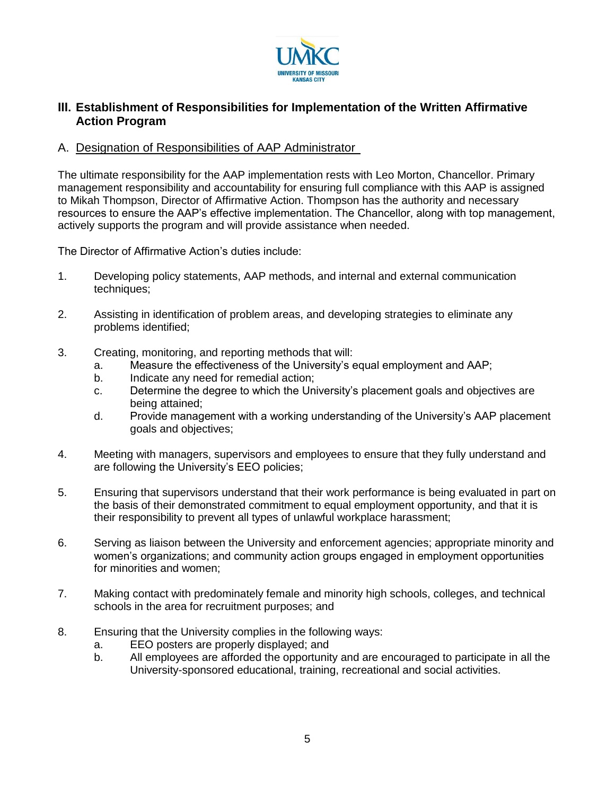

### **III. Establishment of Responsibilities for Implementation of the Written Affirmative Action Program**

#### A. Designation of Responsibilities of AAP Administrator

The ultimate responsibility for the AAP implementation rests with Leo Morton, Chancellor. Primary management responsibility and accountability for ensuring full compliance with this AAP is assigned to Mikah Thompson, Director of Affirmative Action. Thompson has the authority and necessary resources to ensure the AAP's effective implementation. The Chancellor, along with top management, actively supports the program and will provide assistance when needed.

The Director of Affirmative Action's duties include:

- 1. Developing policy statements, AAP methods, and internal and external communication techniques;
- 2. Assisting in identification of problem areas, and developing strategies to eliminate any problems identified;
- 3. Creating, monitoring, and reporting methods that will:
	- a. Measure the effectiveness of the University's equal employment and AAP;
	- b. Indicate any need for remedial action;
	- c. Determine the degree to which the University's placement goals and objectives are being attained;
	- d. Provide management with a working understanding of the University's AAP placement goals and objectives;
- 4. Meeting with managers, supervisors and employees to ensure that they fully understand and are following the University's EEO policies;
- 5. Ensuring that supervisors understand that their work performance is being evaluated in part on the basis of their demonstrated commitment to equal employment opportunity, and that it is their responsibility to prevent all types of unlawful workplace harassment;
- 6. Serving as liaison between the University and enforcement agencies; appropriate minority and women's organizations; and community action groups engaged in employment opportunities for minorities and women;
- 7. Making contact with predominately female and minority high schools, colleges, and technical schools in the area for recruitment purposes; and
- 8. Ensuring that the University complies in the following ways:
	- a. EEO posters are properly displayed; and
	- b. All employees are afforded the opportunity and are encouraged to participate in all the University-sponsored educational, training, recreational and social activities.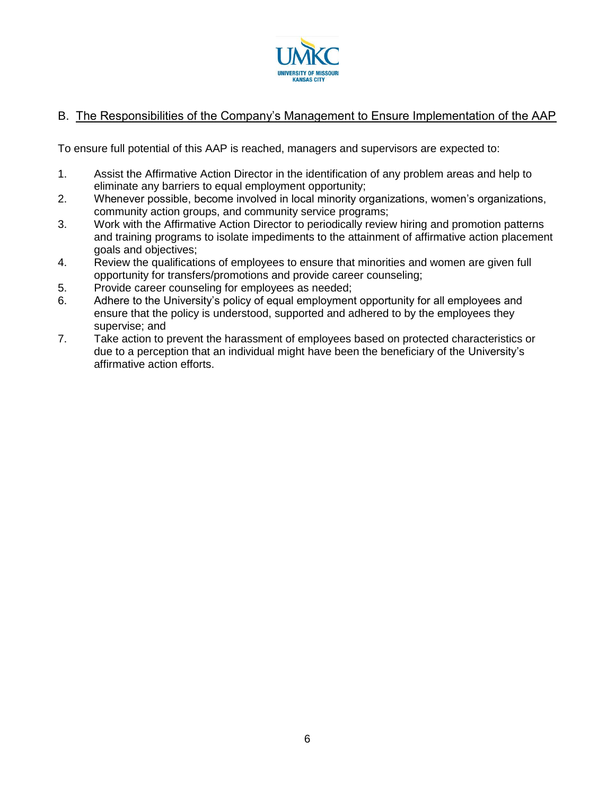

## B. The Responsibilities of the Company's Management to Ensure Implementation of the AAP

To ensure full potential of this AAP is reached, managers and supervisors are expected to:

- 1. Assist the Affirmative Action Director in the identification of any problem areas and help to eliminate any barriers to equal employment opportunity;
- 2. Whenever possible, become involved in local minority organizations, women's organizations, community action groups, and community service programs;
- 3. Work with the Affirmative Action Director to periodically review hiring and promotion patterns and training programs to isolate impediments to the attainment of affirmative action placement goals and objectives;
- 4. Review the qualifications of employees to ensure that minorities and women are given full opportunity for transfers/promotions and provide career counseling;
- 5. Provide career counseling for employees as needed;
- 6. Adhere to the University's policy of equal employment opportunity for all employees and ensure that the policy is understood, supported and adhered to by the employees they supervise; and
- 7. Take action to prevent the harassment of employees based on protected characteristics or due to a perception that an individual might have been the beneficiary of the University's affirmative action efforts.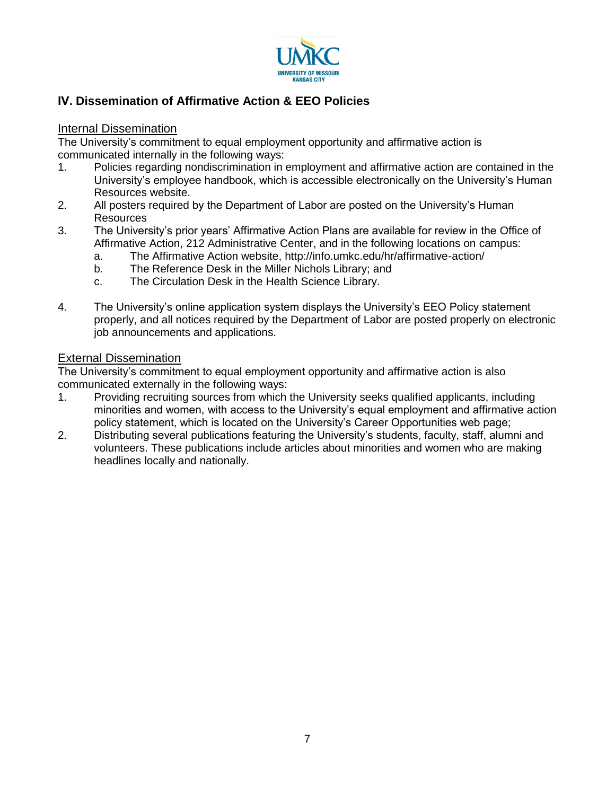

## **IV. Dissemination of Affirmative Action & EEO Policies**

#### Internal Dissemination

The University's commitment to equal employment opportunity and affirmative action is communicated internally in the following ways:

- 1. Policies regarding nondiscrimination in employment and affirmative action are contained in the University's employee handbook, which is accessible electronically on the University's Human Resources website.
- 2. All posters required by the Department of Labor are posted on the University's Human **Resources**
- 3. The University's prior years' Affirmative Action Plans are available for review in the Office of Affirmative Action, 212 Administrative Center, and in the following locations on campus:
	- a. The Affirmative Action website, http://info.umkc.edu/hr/affirmative-action/
	- b. The Reference Desk in the Miller Nichols Library; and
	- c. The Circulation Desk in the Health Science Library.
- 4. The University's online application system displays the University's EEO Policy statement properly, and all notices required by the Department of Labor are posted properly on electronic job announcements and applications.

#### External Dissemination

The University's commitment to equal employment opportunity and affirmative action is also communicated externally in the following ways:

- 1. Providing recruiting sources from which the University seeks qualified applicants, including minorities and women, with access to the University's equal employment and affirmative action policy statement, which is located on the University's Career Opportunities web page;
- 2. Distributing several publications featuring the University's students, faculty, staff, alumni and volunteers. These publications include articles about minorities and women who are making headlines locally and nationally.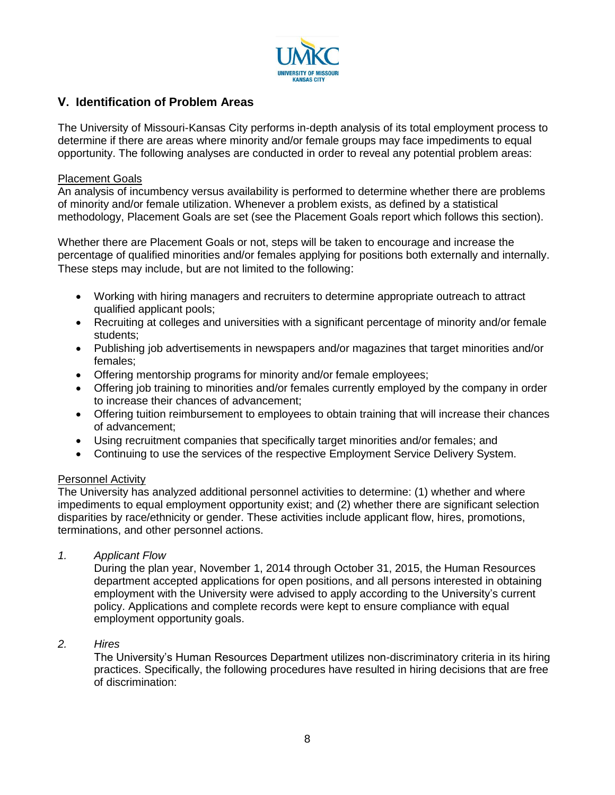

## **V. Identification of Problem Areas**

The University of Missouri-Kansas City performs in-depth analysis of its total employment process to determine if there are areas where minority and/or female groups may face impediments to equal opportunity. The following analyses are conducted in order to reveal any potential problem areas:

#### Placement Goals

An analysis of incumbency versus availability is performed to determine whether there are problems of minority and/or female utilization. Whenever a problem exists, as defined by a statistical methodology, Placement Goals are set (see the Placement Goals report which follows this section).

Whether there are Placement Goals or not, steps will be taken to encourage and increase the percentage of qualified minorities and/or females applying for positions both externally and internally. These steps may include, but are not limited to the following:

- Working with hiring managers and recruiters to determine appropriate outreach to attract qualified applicant pools;
- Recruiting at colleges and universities with a significant percentage of minority and/or female students;
- Publishing job advertisements in newspapers and/or magazines that target minorities and/or females;
- Offering mentorship programs for minority and/or female employees;
- Offering job training to minorities and/or females currently employed by the company in order to increase their chances of advancement;
- Offering tuition reimbursement to employees to obtain training that will increase their chances of advancement;
- Using recruitment companies that specifically target minorities and/or females; and
- Continuing to use the services of the respective Employment Service Delivery System.

#### Personnel Activity

The University has analyzed additional personnel activities to determine: (1) whether and where impediments to equal employment opportunity exist; and (2) whether there are significant selection disparities by race/ethnicity or gender. These activities include applicant flow, hires, promotions, terminations, and other personnel actions.

*1. Applicant Flow*

During the plan year, November 1, 2014 through October 31, 2015, the Human Resources department accepted applications for open positions, and all persons interested in obtaining employment with the University were advised to apply according to the University's current policy. Applications and complete records were kept to ensure compliance with equal employment opportunity goals.

*2. Hires*

The University's Human Resources Department utilizes non-discriminatory criteria in its hiring practices. Specifically, the following procedures have resulted in hiring decisions that are free of discrimination: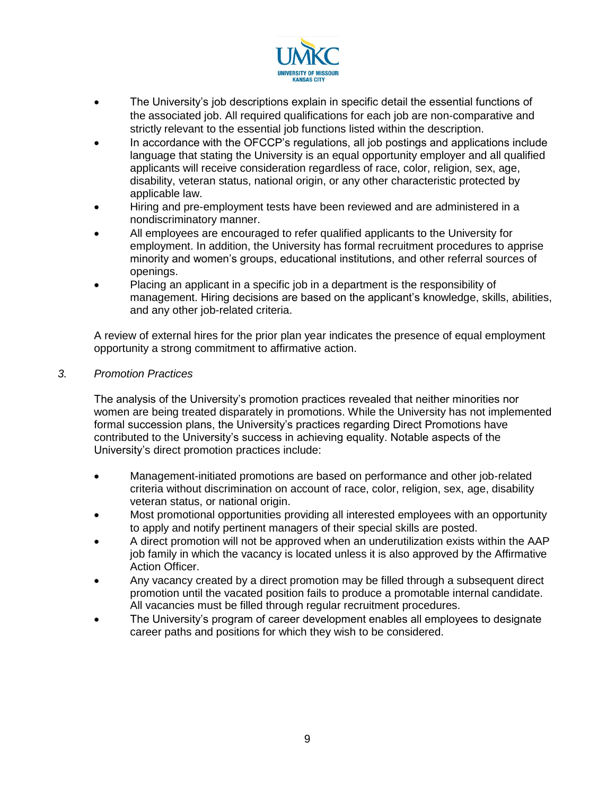

- The University's job descriptions explain in specific detail the essential functions of the associated job. All required qualifications for each job are non-comparative and strictly relevant to the essential job functions listed within the description.
- In accordance with the OFCCP's regulations, all job postings and applications include language that stating the University is an equal opportunity employer and all qualified applicants will receive consideration regardless of race, color, religion, sex, age, disability, veteran status, national origin, or any other characteristic protected by applicable law.
- Hiring and pre-employment tests have been reviewed and are administered in a nondiscriminatory manner.
- All employees are encouraged to refer qualified applicants to the University for employment. In addition, the University has formal recruitment procedures to apprise minority and women's groups, educational institutions, and other referral sources of openings.
- Placing an applicant in a specific job in a department is the responsibility of management. Hiring decisions are based on the applicant's knowledge, skills, abilities, and any other job-related criteria.

A review of external hires for the prior plan year indicates the presence of equal employment opportunity a strong commitment to affirmative action.

#### *3. Promotion Practices*

The analysis of the University's promotion practices revealed that neither minorities nor women are being treated disparately in promotions. While the University has not implemented formal succession plans, the University's practices regarding Direct Promotions have contributed to the University's success in achieving equality. Notable aspects of the University's direct promotion practices include:

- Management-initiated promotions are based on performance and other job-related criteria without discrimination on account of race, color, religion, sex, age, disability veteran status, or national origin.
- Most promotional opportunities providing all interested employees with an opportunity to apply and notify pertinent managers of their special skills are posted.
- A direct promotion will not be approved when an underutilization exists within the AAP job family in which the vacancy is located unless it is also approved by the Affirmative Action Officer.
- Any vacancy created by a direct promotion may be filled through a subsequent direct promotion until the vacated position fails to produce a promotable internal candidate. All vacancies must be filled through regular recruitment procedures.
- The University's program of career development enables all employees to designate career paths and positions for which they wish to be considered.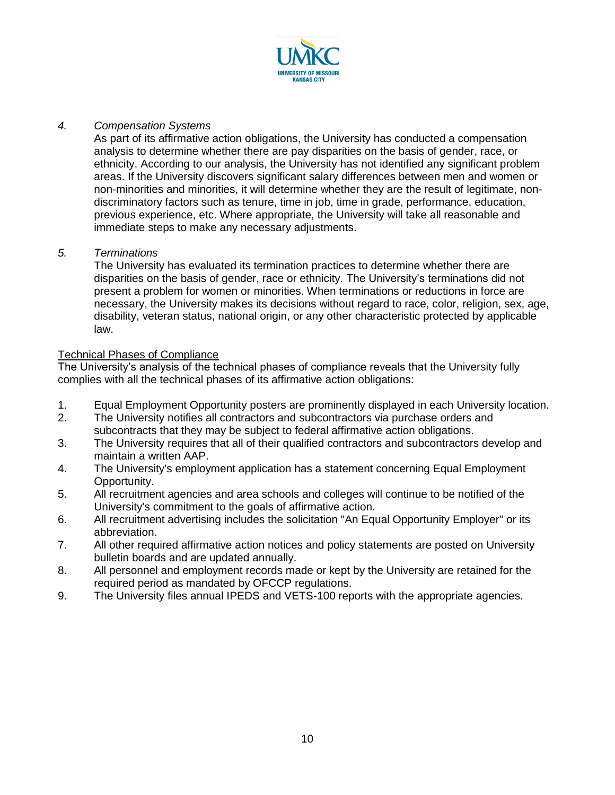

#### *4. Compensation Systems*

As part of its affirmative action obligations, the University has conducted a compensation analysis to determine whether there are pay disparities on the basis of gender, race, or ethnicity. According to our analysis, the University has not identified any significant problem areas. If the University discovers significant salary differences between men and women or non-minorities and minorities, it will determine whether they are the result of legitimate, nondiscriminatory factors such as tenure, time in job, time in grade, performance, education, previous experience, etc. Where appropriate, the University will take all reasonable and immediate steps to make any necessary adjustments.

#### *5. Terminations*

The University has evaluated its termination practices to determine whether there are disparities on the basis of gender, race or ethnicity. The University's terminations did not present a problem for women or minorities. When terminations or reductions in force are necessary, the University makes its decisions without regard to race, color, religion, sex, age, disability, veteran status, national origin, or any other characteristic protected by applicable law.

#### **Technical Phases of Compliance**

The University's analysis of the technical phases of compliance reveals that the University fully complies with all the technical phases of its affirmative action obligations:

- 1. Equal Employment Opportunity posters are prominently displayed in each University location.
- 2. The University notifies all contractors and subcontractors via purchase orders and subcontracts that they may be subject to federal affirmative action obligations.
- 3. The University requires that all of their qualified contractors and subcontractors develop and maintain a written AAP.
- 4. The University's employment application has a statement concerning Equal Employment Opportunity.
- 5. All recruitment agencies and area schools and colleges will continue to be notified of the University's commitment to the goals of affirmative action.
- 6. All recruitment advertising includes the solicitation "An Equal Opportunity Employer" or its abbreviation.
- 7. All other required affirmative action notices and policy statements are posted on University bulletin boards and are updated annually.
- 8. All personnel and employment records made or kept by the University are retained for the required period as mandated by OFCCP regulations.
- 9. The University files annual IPEDS and VETS-100 reports with the appropriate agencies.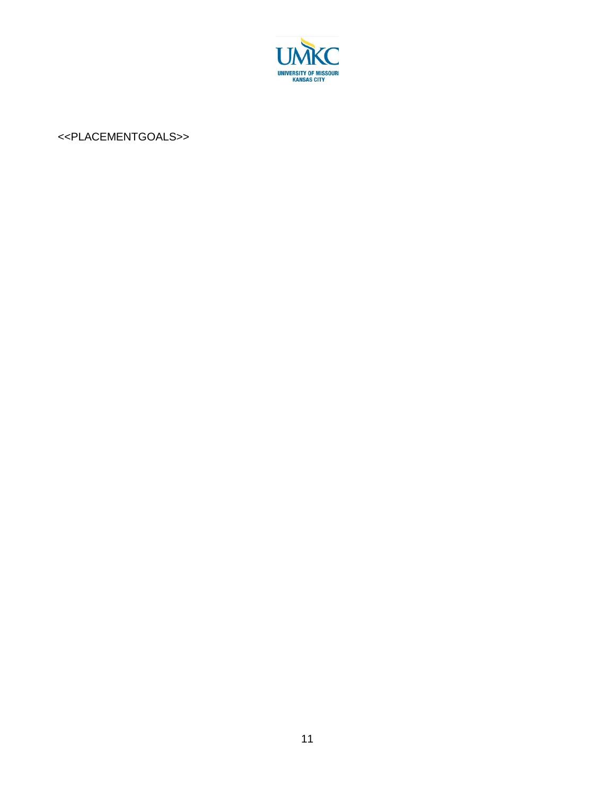

## <<PLACEMENTGOALS>>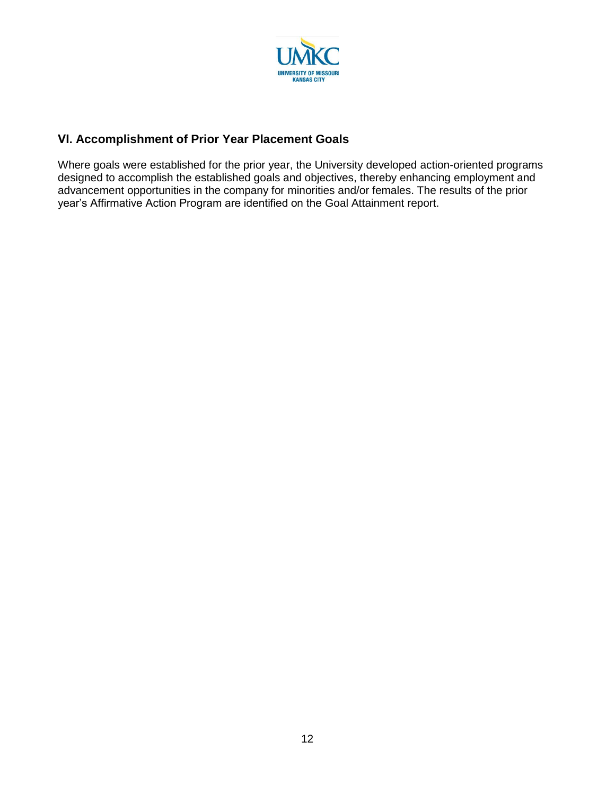

## **VI. Accomplishment of Prior Year Placement Goals**

Where goals were established for the prior year, the University developed action-oriented programs designed to accomplish the established goals and objectives, thereby enhancing employment and advancement opportunities in the company for minorities and/or females. The results of the prior year's Affirmative Action Program are identified on the Goal Attainment report.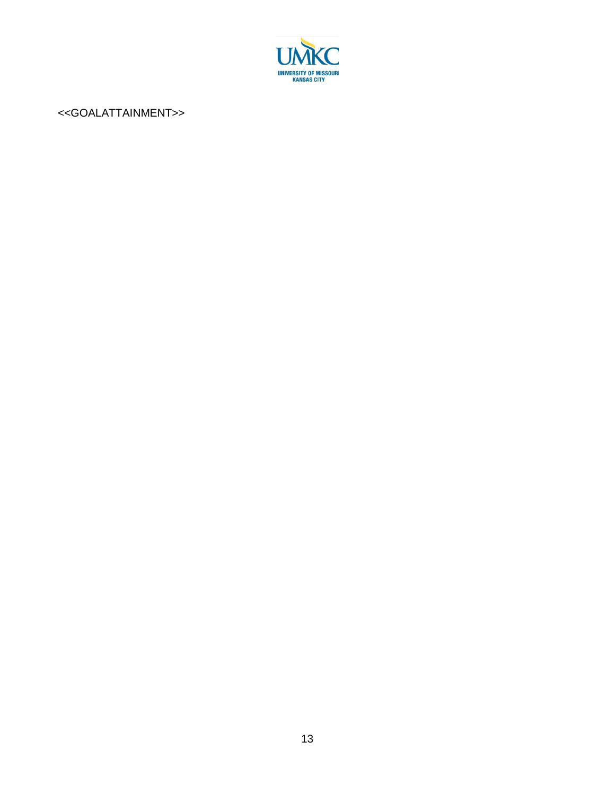

#### <<GOALATTAINMENT>>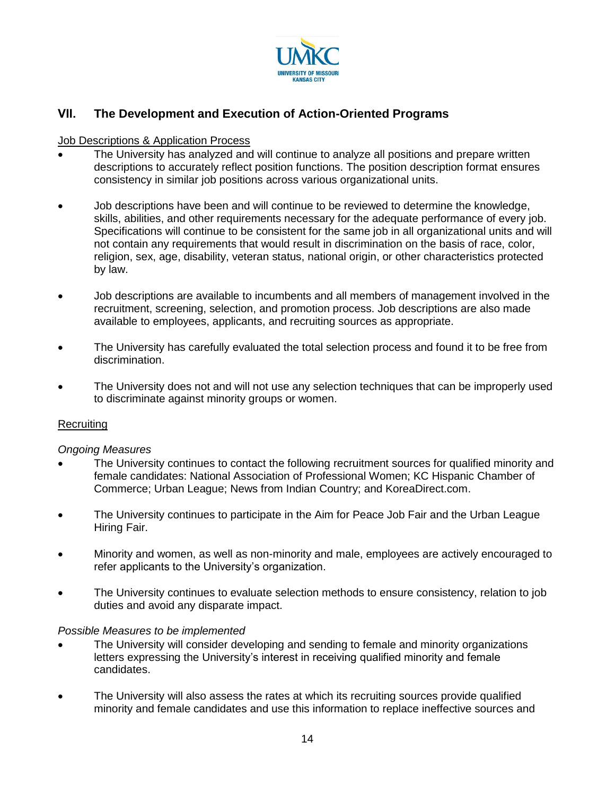

## **VII. The Development and Execution of Action-Oriented Programs**

#### Job Descriptions & Application Process

- The University has analyzed and will continue to analyze all positions and prepare written descriptions to accurately reflect position functions. The position description format ensures consistency in similar job positions across various organizational units.
- Job descriptions have been and will continue to be reviewed to determine the knowledge, skills, abilities, and other requirements necessary for the adequate performance of every job. Specifications will continue to be consistent for the same job in all organizational units and will not contain any requirements that would result in discrimination on the basis of race, color, religion, sex, age, disability, veteran status, national origin, or other characteristics protected by law.
- Job descriptions are available to incumbents and all members of management involved in the recruitment, screening, selection, and promotion process. Job descriptions are also made available to employees, applicants, and recruiting sources as appropriate.
- The University has carefully evaluated the total selection process and found it to be free from discrimination.
- The University does not and will not use any selection techniques that can be improperly used to discriminate against minority groups or women.

#### **Recruiting**

#### *Ongoing Measures*

- The University continues to contact the following recruitment sources for qualified minority and female candidates: National Association of Professional Women; KC Hispanic Chamber of Commerce; Urban League; News from Indian Country; and KoreaDirect.com.
- The University continues to participate in the Aim for Peace Job Fair and the Urban League Hiring Fair.
- Minority and women, as well as non-minority and male, employees are actively encouraged to refer applicants to the University's organization.
- The University continues to evaluate selection methods to ensure consistency, relation to job duties and avoid any disparate impact.

#### *Possible Measures to be implemented*

- The University will consider developing and sending to female and minority organizations letters expressing the University's interest in receiving qualified minority and female candidates.
- The University will also assess the rates at which its recruiting sources provide qualified minority and female candidates and use this information to replace ineffective sources and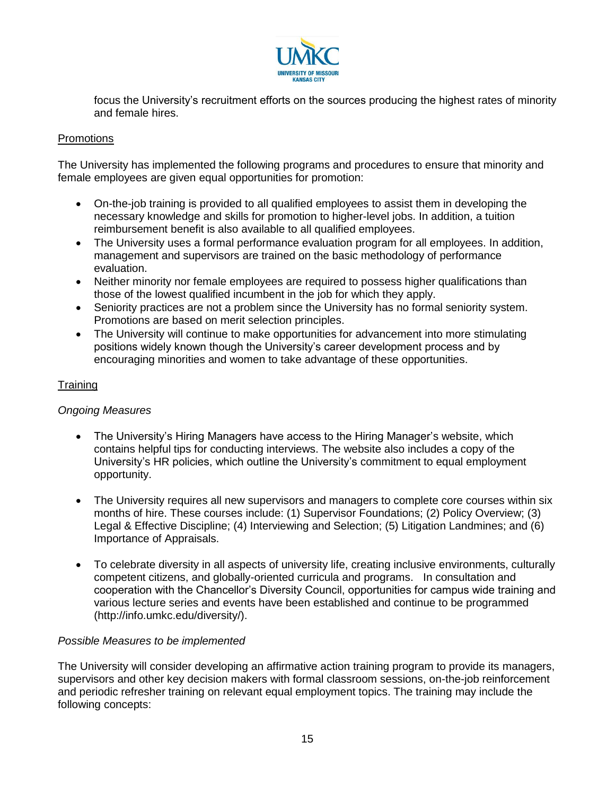

focus the University's recruitment efforts on the sources producing the highest rates of minority and female hires.

#### **Promotions**

The University has implemented the following programs and procedures to ensure that minority and female employees are given equal opportunities for promotion:

- On-the-job training is provided to all qualified employees to assist them in developing the necessary knowledge and skills for promotion to higher-level jobs. In addition, a tuition reimbursement benefit is also available to all qualified employees.
- The University uses a formal performance evaluation program for all employees. In addition, management and supervisors are trained on the basic methodology of performance evaluation.
- Neither minority nor female employees are required to possess higher qualifications than those of the lowest qualified incumbent in the job for which they apply.
- Seniority practices are not a problem since the University has no formal seniority system. Promotions are based on merit selection principles.
- The University will continue to make opportunities for advancement into more stimulating positions widely known though the University's career development process and by encouraging minorities and women to take advantage of these opportunities.

#### Training

#### *Ongoing Measures*

- The University's Hiring Managers have access to the Hiring Manager's website, which contains helpful tips for conducting interviews. The website also includes a copy of the University's HR policies, which outline the University's commitment to equal employment opportunity.
- The University requires all new supervisors and managers to complete core courses within six months of hire. These courses include: (1) Supervisor Foundations; (2) Policy Overview; (3) Legal & Effective Discipline; (4) Interviewing and Selection; (5) Litigation Landmines; and (6) Importance of Appraisals.
- To celebrate diversity in all aspects of university life, creating inclusive environments, culturally competent citizens, and globally-oriented curricula and programs. In consultation and cooperation with the Chancellor's Diversity Council, opportunities for campus wide training and various lecture series and events have been established and continue to be programmed (http://info.umkc.edu/diversity/).

#### *Possible Measures to be implemented*

The University will consider developing an affirmative action training program to provide its managers, supervisors and other key decision makers with formal classroom sessions, on-the-job reinforcement and periodic refresher training on relevant equal employment topics. The training may include the following concepts: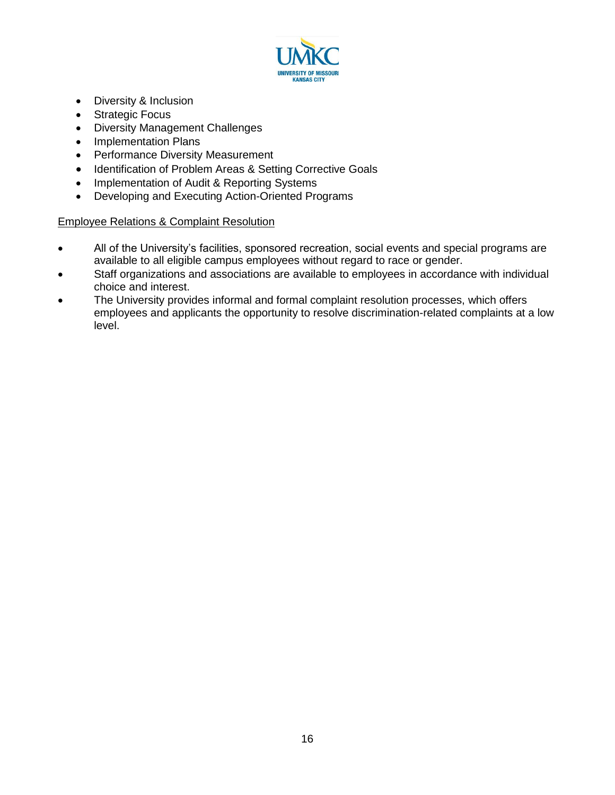

- Diversity & Inclusion
- Strategic Focus
- Diversity Management Challenges
- Implementation Plans
- Performance Diversity Measurement
- Identification of Problem Areas & Setting Corrective Goals
- Implementation of Audit & Reporting Systems
- Developing and Executing Action-Oriented Programs

#### Employee Relations & Complaint Resolution

- All of the University's facilities, sponsored recreation, social events and special programs are available to all eligible campus employees without regard to race or gender.
- Staff organizations and associations are available to employees in accordance with individual choice and interest.
- The University provides informal and formal complaint resolution processes, which offers employees and applicants the opportunity to resolve discrimination-related complaints at a low level.